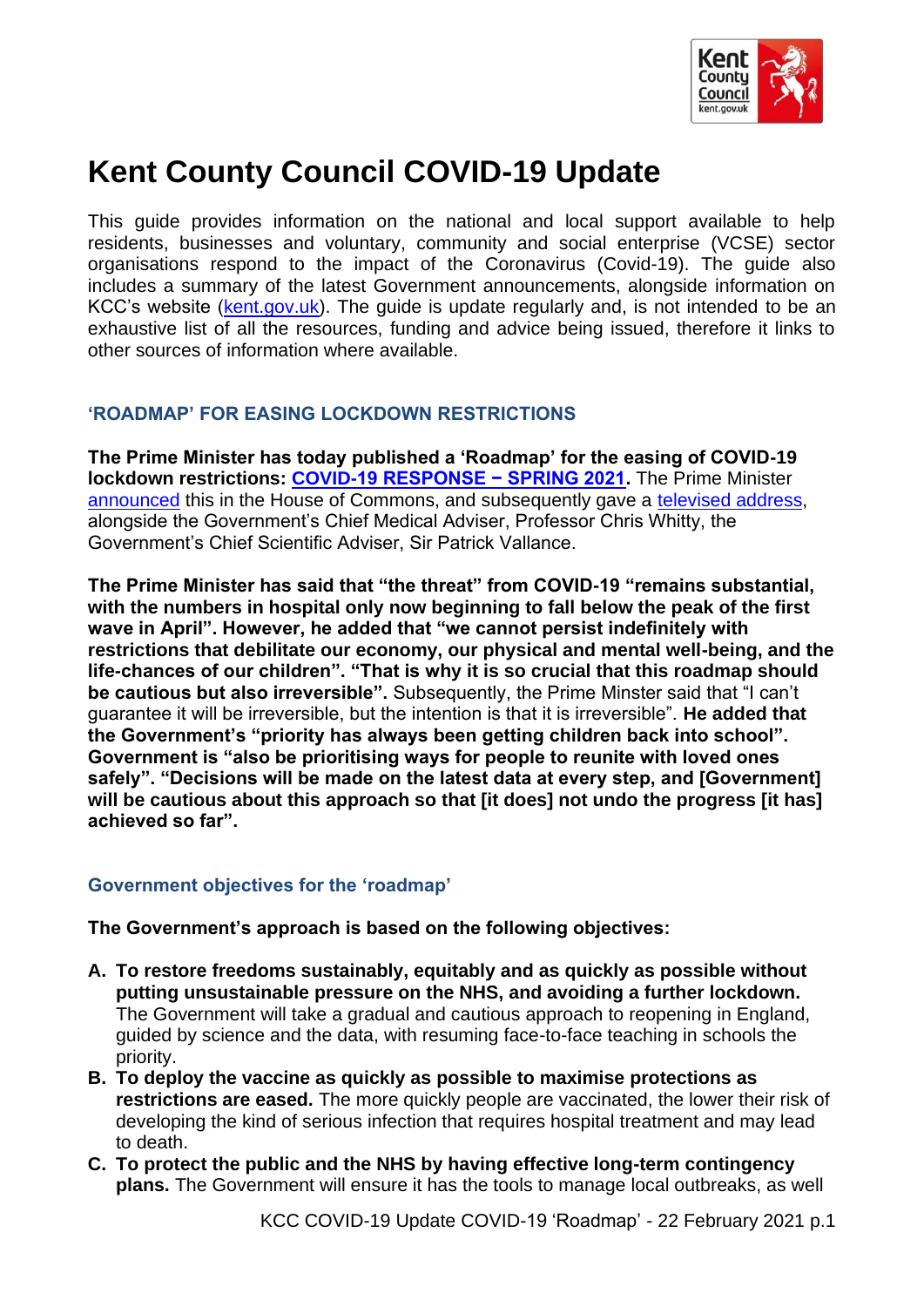

# **Kent County Council COVID-19 Update**

This guide provides information on the national and local support available to help residents, businesses and voluntary, community and social enterprise (VCSE) sector organisations respond to the impact of the Coronavirus (Covid-19). The guide also includes a summary of the latest Government announcements, alongside information on KCC's website [\(kent.gov.uk\)](http://www.kent.gov.uk/). The guide is update regularly and, is not intended to be an exhaustive list of all the resources, funding and advice being issued, therefore it links to other sources of information where available.

# **'ROADMAP' FOR EASING LOCKDOWN RESTRICTIONS**

**The Prime Minister has today published a 'Roadmap' for the easing of COVID-19 lockdown restrictions: [COVID-19 RESPONSE − SPRING 2021.](https://assets.publishing.service.gov.uk/government/uploads/system/uploads/attachment_data/file/963491/COVID-19_Response_-_Spring_2021.pdf)** The Prime Minister [announced](https://www.gov.uk/government/speeches/pm-statement-to-the-house-of-commons-on-roadmap-for-easing-lockdown-restrictions-in-england-22-february-2021) this in the House of Commons, and subsequently gave a [televised address,](https://www.youtube.com/watch?v=dFCu-r1KVlc) alongside the Government's Chief Medical Adviser, Professor Chris Whitty, the Government's Chief Scientific Adviser, Sir Patrick Vallance.

**The Prime Minister has said that "the threat" from COVID-19 "remains substantial, with the numbers in hospital only now beginning to fall below the peak of the first wave in April". However, he added that "we cannot persist indefinitely with restrictions that debilitate our economy, our physical and mental well-being, and the life-chances of our children". "That is why it is so crucial that this roadmap should be cautious but also irreversible".** Subsequently, the Prime Minster said that "I can't guarantee it will be irreversible, but the intention is that it is irreversible". **He added that the Government's "priority has always been getting children back into school". Government is "also be prioritising ways for people to reunite with loved ones safely". "Decisions will be made on the latest data at every step, and [Government] will be cautious about this approach so that [it does] not undo the progress [it has] achieved so far".** 

## **Government objectives for the 'roadmap'**

**The Government's approach is based on the following objectives:**

- **A. To restore freedoms sustainably, equitably and as quickly as possible without putting unsustainable pressure on the NHS, and avoiding a further lockdown.**  The Government will take a gradual and cautious approach to reopening in England, guided by science and the data, with resuming face-to-face teaching in schools the priority.
- **B. To deploy the vaccine as quickly as possible to maximise protections as restrictions are eased.** The more quickly people are vaccinated, the lower their risk of developing the kind of serious infection that requires hospital treatment and may lead to death.
- **C. To protect the public and the NHS by having effective long-term contingency plans.** The Government will ensure it has the tools to manage local outbreaks, as well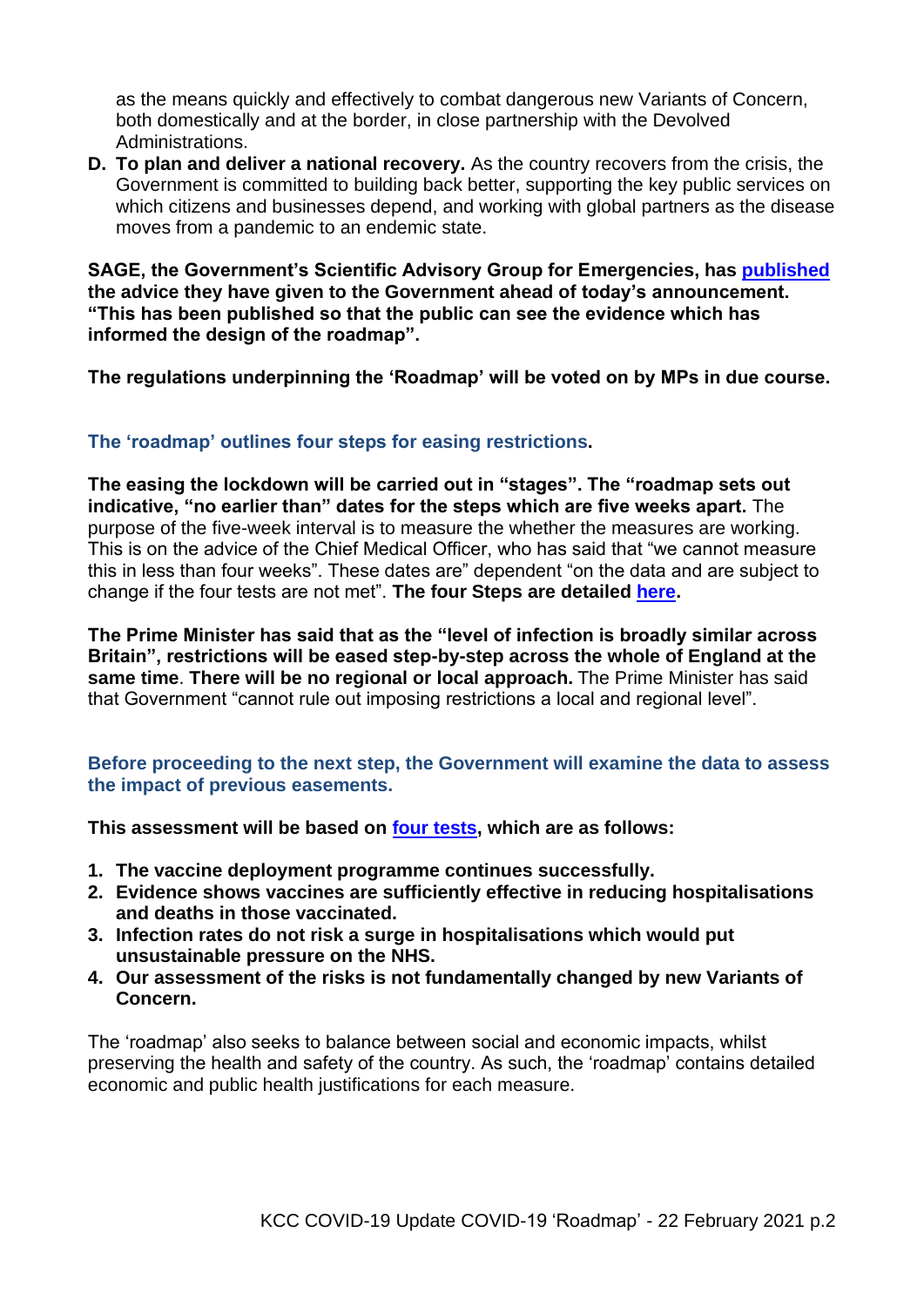as the means quickly and effectively to combat dangerous new Variants of Concern, both domestically and at the border, in close partnership with the Devolved Administrations.

**D. To plan and deliver a national recovery.** As the country recovers from the crisis, the Government is committed to building back better, supporting the key public services on which citizens and businesses depend, and working with global partners as the disease moves from a pandemic to an endemic state.

**SAGE, the Government's Scientific Advisory Group for Emergencies, has [published](https://assets.publishing.service.gov.uk/government/uploads/system/uploads/attachment_data/file/963414/S1130_SPI-M_Summary_of_Modelling_on_Roadmap_Scenarios.pdf) the advice they have given to the Government ahead of today's announcement. "This has been published so that the public can see the evidence which has informed the design of the roadmap".**

**The regulations underpinning the 'Roadmap' will be voted on by MPs in due course.**

# **The 'roadmap' outlines four steps for easing restrictions.**

**The easing the lockdown will be carried out in "stages". The "roadmap sets out indicative, "no earlier than" dates for the steps which are five weeks apart.** The purpose of the five-week interval is to measure the whether the measures are working. This is on the advice of the Chief Medical Officer, who has said that "we cannot measure this in less than four weeks". These dates are" dependent "on the data and are subject to change if the four tests are not met". **The four Steps are detailed [here.](#page-3-0)**

**The Prime Minister has said that as the "level of infection is broadly similar across Britain", restrictions will be eased step-by-step across the whole of England at the same time**. **There will be no regional or local approach.** The Prime Minister has said that Government "cannot rule out imposing restrictions a local and regional level".

## **Before proceeding to the next step, the Government will examine the data to assess the impact of previous easements.**

**This assessment will be based on [four tests,](https://www.gov.uk/government/news/prime-minister-to-publish-roadmap-for-cautiously-easing-covid-restrictions) which are as follows:**

- **1. The vaccine deployment programme continues successfully.**
- **2. Evidence shows vaccines are sufficiently effective in reducing hospitalisations and deaths in those vaccinated.**
- **3. Infection rates do not risk a surge in hospitalisations which would put unsustainable pressure on the NHS.**
- **4. Our assessment of the risks is not fundamentally changed by new Variants of Concern.**

The 'roadmap' also seeks to balance between social and economic impacts, whilst preserving the health and safety of the country. As such, the 'roadmap' contains detailed economic and public health justifications for each measure.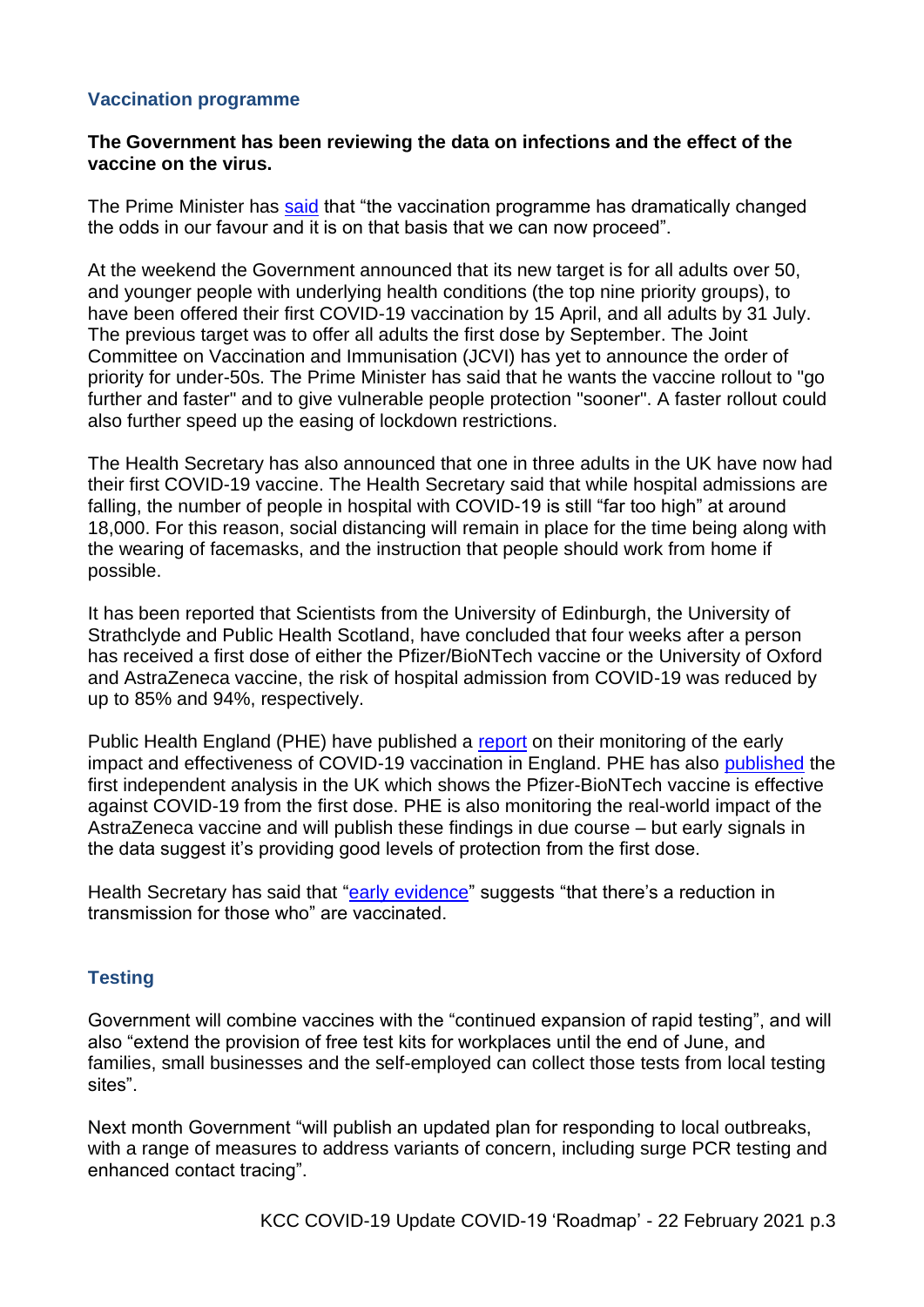### **Vaccination programme**

#### **The Government has been reviewing the data on infections and the effect of the vaccine on the virus.**

The Prime Minister has [said](https://www.gov.uk/government/speeches/pm-statement-to-the-house-of-commons-on-roadmap-for-easing-lockdown-restrictions-in-england-22-february-2021) that "the vaccination programme has dramatically changed the odds in our favour and it is on that basis that we can now proceed".

At the weekend the Government announced that its new target is for all adults over 50, and younger people with underlying health conditions (the top nine priority groups), to have been offered their first COVID-19 vaccination by 15 April, and all adults by 31 July. The previous target was to offer all adults the first dose by September. The Joint Committee on Vaccination and Immunisation (JCVI) has yet to announce the order of priority for under-50s. The Prime Minister has said that he wants the vaccine rollout to "go further and faster" and to give vulnerable people protection "sooner". A faster rollout could also further speed up the easing of lockdown restrictions.

The Health Secretary has also announced that one in three adults in the UK have now had their first COVID-19 vaccine. The Health Secretary said that while hospital admissions are falling, the number of people in hospital with COVID-19 is still "far too high" at around 18,000. For this reason, social distancing will remain in place for the time being along with the wearing of facemasks, and the instruction that people should work from home if possible.

It has been reported that Scientists from the University of Edinburgh, the University of Strathclyde and Public Health Scotland, have concluded that four weeks after a person has received a first dose of either the Pfizer/BioNTech vaccine or the University of Oxford and AstraZeneca vaccine, the risk of hospital admission from COVID-19 was reduced by up to 85% and 94%, respectively.

Public Health England (PHE) have published a [report](https://assets.publishing.service.gov.uk/government/uploads/system/uploads/attachment_data/file/963532/COVID-19_vaccine_effectiveness_surveillance_report_February_2021_FINAL.pdf) on their monitoring of the early impact and effectiveness of COVID-19 vaccination in England. PHE has also [published](https://www.gov.uk/government/news/first-real-world-uk-data-shows-pfizer-biontech-vaccine-provides-high-levels-of-protection-from-the-first-dose) the first independent analysis in the UK which shows the Pfizer-BioNTech vaccine is effective against COVID-19 from the first dose. PHE is also monitoring the real-world impact of the AstraZeneca vaccine and will publish these findings in due course – but early signals in the data suggest it's providing good levels of protection from the first dose.

Health Secretary has said that ["early evidence"](https://www.gov.uk/government/statistics/react-1-study-of-coronavirus-transmission-february-2021-final-results/react-1-real-time-assessment-of-community-transmission-of-coronavirus-covid-19-in-february-2021) suggests "that there's a reduction in transmission for those who" are vaccinated.

## **Testing**

Government will combine vaccines with the "continued expansion of rapid testing", and will also "extend the provision of free test kits for workplaces until the end of June, and families, small businesses and the self-employed can collect those tests from local testing sites".

Next month Government "will publish an updated plan for responding to local outbreaks, with a range of measures to address variants of concern, including surge PCR testing and enhanced contact tracing".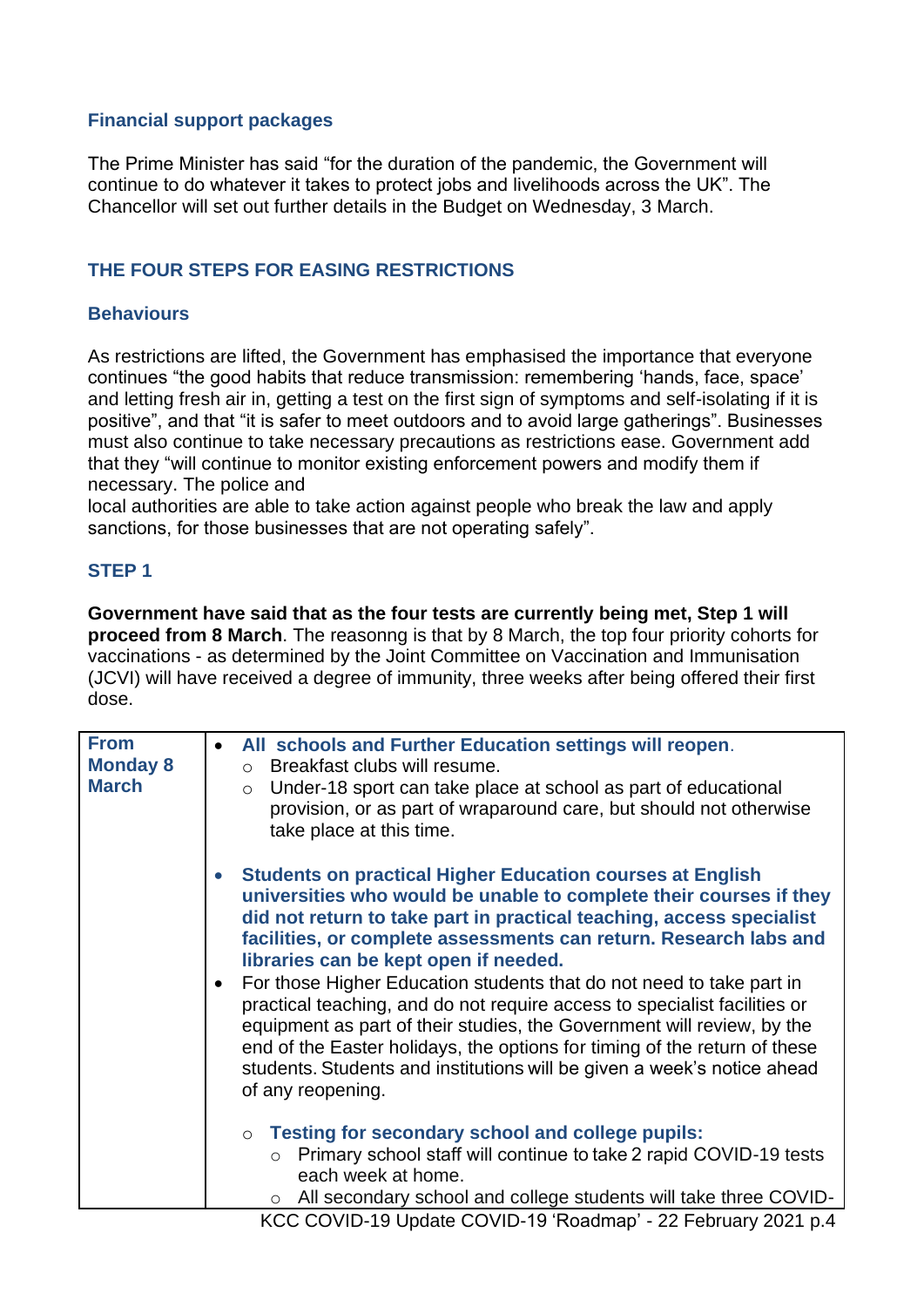## **Financial support packages**

The Prime Minister has said "for the duration of the pandemic, the Government will continue to do whatever it takes to protect jobs and livelihoods across the UK". The Chancellor will set out further details in the Budget on Wednesday, 3 March.

# <span id="page-3-0"></span>**THE FOUR STEPS FOR EASING RESTRICTIONS**

## **Behaviours**

As restrictions are lifted, the Government has emphasised the importance that everyone continues "the good habits that reduce transmission: remembering 'hands, face, space' and letting fresh air in, getting a test on the first sign of symptoms and self-isolating if it is positive", and that "it is safer to meet outdoors and to avoid large gatherings". Businesses must also continue to take necessary precautions as restrictions ease. Government add that they "will continue to monitor existing enforcement powers and modify them if necessary. The police and

local authorities are able to take action against people who break the law and apply sanctions, for those businesses that are not operating safely".

#### **STEP 1**

**Government have said that as the four tests are currently being met, Step 1 will proceed from 8 March**. The reasonng is that by 8 March, the top four priority cohorts for vaccinations - as determined by the Joint Committee on Vaccination and Immunisation (JCVI) will have received a degree of immunity, three weeks after being offered their first dose.

| <b>From</b>     | All schools and Further Education settings will reopen.<br>$\bullet$                                                                                                                                                                                                                                                                                                                                                  |
|-----------------|-----------------------------------------------------------------------------------------------------------------------------------------------------------------------------------------------------------------------------------------------------------------------------------------------------------------------------------------------------------------------------------------------------------------------|
| <b>Monday 8</b> | Breakfast clubs will resume.<br>$\circ$                                                                                                                                                                                                                                                                                                                                                                               |
| <b>March</b>    | Under-18 sport can take place at school as part of educational<br>$\circ$                                                                                                                                                                                                                                                                                                                                             |
|                 | provision, or as part of wraparound care, but should not otherwise                                                                                                                                                                                                                                                                                                                                                    |
|                 | take place at this time.                                                                                                                                                                                                                                                                                                                                                                                              |
|                 |                                                                                                                                                                                                                                                                                                                                                                                                                       |
|                 | <b>Students on practical Higher Education courses at English</b><br>$\bullet$<br>universities who would be unable to complete their courses if they<br>did not return to take part in practical teaching, access specialist<br>facilities, or complete assessments can return. Research labs and                                                                                                                      |
|                 | libraries can be kept open if needed.                                                                                                                                                                                                                                                                                                                                                                                 |
|                 | For those Higher Education students that do not need to take part in<br>$\bullet$<br>practical teaching, and do not require access to specialist facilities or<br>equipment as part of their studies, the Government will review, by the<br>end of the Easter holidays, the options for timing of the return of these<br>students. Students and institutions will be given a week's notice ahead<br>of any reopening. |
|                 | Testing for secondary school and college pupils:<br>$\circ$                                                                                                                                                                                                                                                                                                                                                           |
|                 | o Primary school staff will continue to take 2 rapid COVID-19 tests<br>each week at home.                                                                                                                                                                                                                                                                                                                             |
|                 | All secondary school and college students will take three COVID-<br>$\circ$                                                                                                                                                                                                                                                                                                                                           |
|                 | KCC COVID-19 Update COVID-19 'Roadmap' - 22 February 2021 p.4                                                                                                                                                                                                                                                                                                                                                         |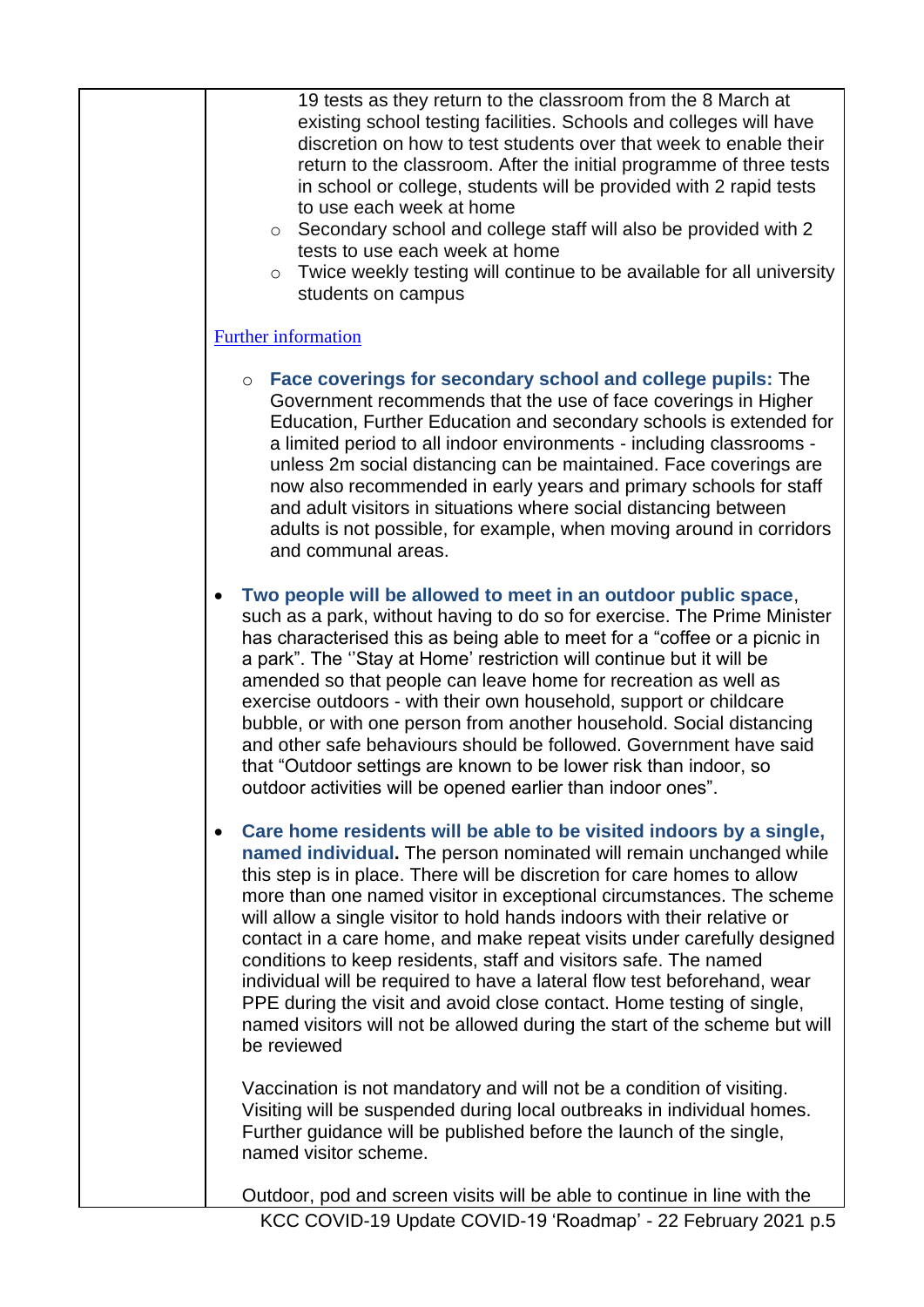| 19 tests as they return to the classroom from the 8 March at<br>existing school testing facilities. Schools and colleges will have<br>discretion on how to test students over that week to enable their<br>return to the classroom. After the initial programme of three tests<br>in school or college, students will be provided with 2 rapid tests<br>to use each week at home<br>Secondary school and college staff will also be provided with 2<br>$\circ$<br>tests to use each week at home<br>Twice weekly testing will continue to be available for all university<br>$\circ$<br>students on campus                                                                                                                                                                             |
|----------------------------------------------------------------------------------------------------------------------------------------------------------------------------------------------------------------------------------------------------------------------------------------------------------------------------------------------------------------------------------------------------------------------------------------------------------------------------------------------------------------------------------------------------------------------------------------------------------------------------------------------------------------------------------------------------------------------------------------------------------------------------------------|
| <b>Further information</b>                                                                                                                                                                                                                                                                                                                                                                                                                                                                                                                                                                                                                                                                                                                                                             |
| ○ Face coverings for secondary school and college pupils: The<br>Government recommends that the use of face coverings in Higher<br>Education, Further Education and secondary schools is extended for<br>a limited period to all indoor environments - including classrooms -<br>unless 2m social distancing can be maintained. Face coverings are<br>now also recommended in early years and primary schools for staff<br>and adult visitors in situations where social distancing between<br>adults is not possible, for example, when moving around in corridors<br>and communal areas.                                                                                                                                                                                             |
| Two people will be allowed to meet in an outdoor public space,<br>such as a park, without having to do so for exercise. The Prime Minister<br>has characterised this as being able to meet for a "coffee or a picnic in<br>a park". The "Stay at Home' restriction will continue but it will be<br>amended so that people can leave home for recreation as well as<br>exercise outdoors - with their own household, support or childcare<br>bubble, or with one person from another household. Social distancing<br>and other safe behaviours should be followed. Government have said<br>that "Outdoor settings are known to be lower risk than indoor, so<br>outdoor activities will be opened earlier than indoor ones".                                                            |
| Care home residents will be able to be visited indoors by a single,<br>$\bullet$<br>named individual. The person nominated will remain unchanged while<br>this step is in place. There will be discretion for care homes to allow<br>more than one named visitor in exceptional circumstances. The scheme<br>will allow a single visitor to hold hands indoors with their relative or<br>contact in a care home, and make repeat visits under carefully designed<br>conditions to keep residents, staff and visitors safe. The named<br>individual will be required to have a lateral flow test beforehand, wear<br>PPE during the visit and avoid close contact. Home testing of single,<br>named visitors will not be allowed during the start of the scheme but will<br>be reviewed |
| Vaccination is not mandatory and will not be a condition of visiting.<br>Visiting will be suspended during local outbreaks in individual homes.<br>Further guidance will be published before the launch of the single,<br>named visitor scheme.                                                                                                                                                                                                                                                                                                                                                                                                                                                                                                                                        |
| Outdoor, pod and screen visits will be able to continue in line with the                                                                                                                                                                                                                                                                                                                                                                                                                                                                                                                                                                                                                                                                                                               |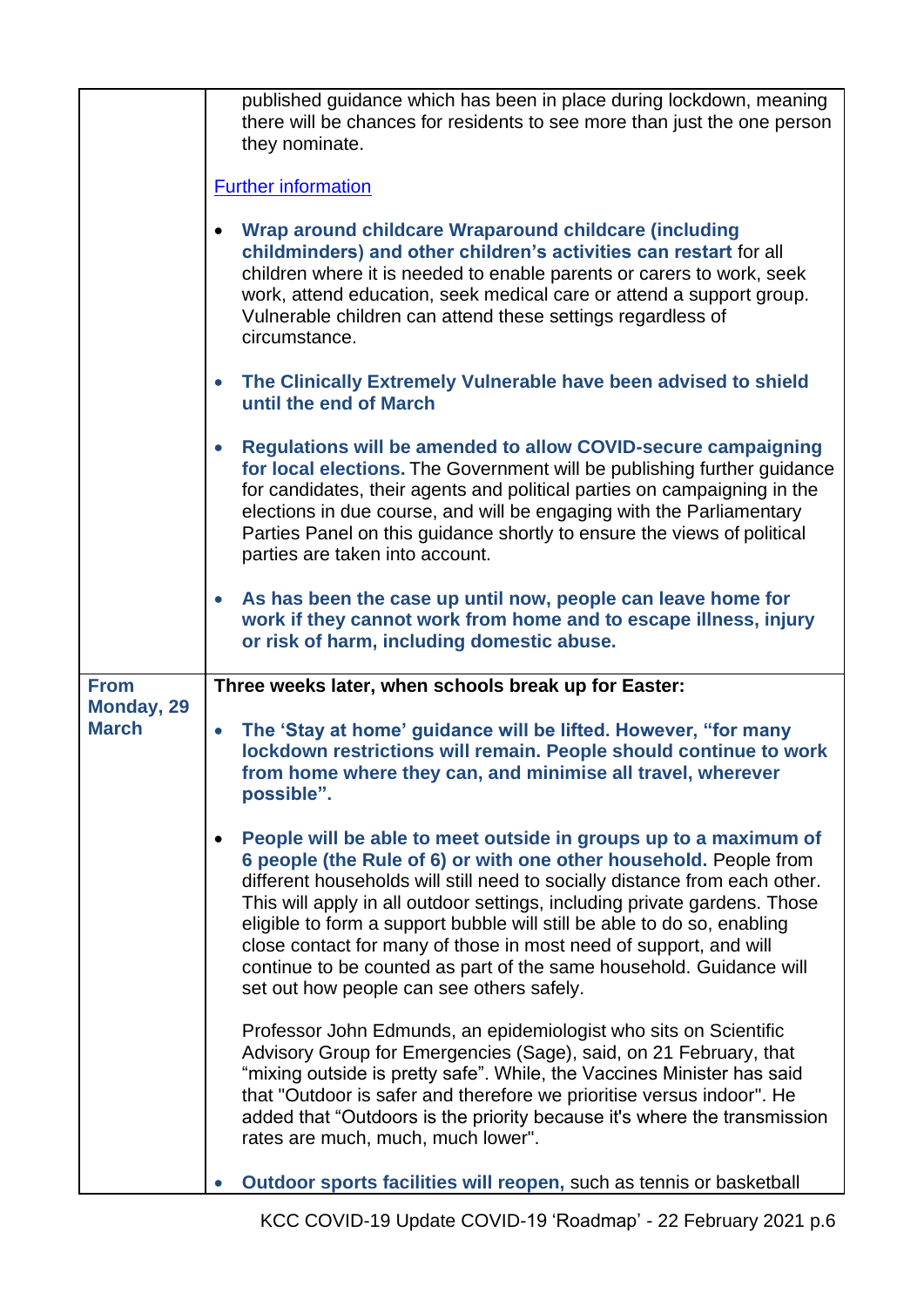|                            | published guidance which has been in place during lockdown, meaning<br>there will be chances for residents to see more than just the one person<br>they nominate.<br><b>Further information</b><br>Wrap around childcare Wraparound childcare (including<br>$\bullet$<br>childminders) and other children's activities can restart for all<br>children where it is needed to enable parents or carers to work, seek<br>work, attend education, seek medical care or attend a support group.<br>Vulnerable children can attend these settings regardless of<br>circumstance.<br>The Clinically Extremely Vulnerable have been advised to shield<br>$\bullet$<br>until the end of March<br><b>Regulations will be amended to allow COVID-secure campaigning</b><br>$\bullet$<br>for local elections. The Government will be publishing further guidance<br>for candidates, their agents and political parties on campaigning in the |
|----------------------------|-----------------------------------------------------------------------------------------------------------------------------------------------------------------------------------------------------------------------------------------------------------------------------------------------------------------------------------------------------------------------------------------------------------------------------------------------------------------------------------------------------------------------------------------------------------------------------------------------------------------------------------------------------------------------------------------------------------------------------------------------------------------------------------------------------------------------------------------------------------------------------------------------------------------------------------|
|                            | elections in due course, and will be engaging with the Parliamentary<br>Parties Panel on this guidance shortly to ensure the views of political<br>parties are taken into account.                                                                                                                                                                                                                                                                                                                                                                                                                                                                                                                                                                                                                                                                                                                                                |
|                            | As has been the case up until now, people can leave home for<br>$\bullet$<br>work if they cannot work from home and to escape illness, injury<br>or risk of harm, including domestic abuse.                                                                                                                                                                                                                                                                                                                                                                                                                                                                                                                                                                                                                                                                                                                                       |
| <b>From</b>                | Three weeks later, when schools break up for Easter:                                                                                                                                                                                                                                                                                                                                                                                                                                                                                                                                                                                                                                                                                                                                                                                                                                                                              |
| Monday, 29<br><b>March</b> | The 'Stay at home' guidance will be lifted. However, "for many<br>$\bullet$<br>lockdown restrictions will remain. People should continue to work<br>from home where they can, and minimise all travel, wherever<br>possible".                                                                                                                                                                                                                                                                                                                                                                                                                                                                                                                                                                                                                                                                                                     |
|                            | People will be able to meet outside in groups up to a maximum of<br>6 people (the Rule of 6) or with one other household. People from<br>different households will still need to socially distance from each other.<br>This will apply in all outdoor settings, including private gardens. Those<br>eligible to form a support bubble will still be able to do so, enabling<br>close contact for many of those in most need of support, and will<br>continue to be counted as part of the same household. Guidance will<br>set out how people can see others safely.                                                                                                                                                                                                                                                                                                                                                              |
|                            | Professor John Edmunds, an epidemiologist who sits on Scientific<br>Advisory Group for Emergencies (Sage), said, on 21 February, that<br>"mixing outside is pretty safe". While, the Vaccines Minister has said<br>that "Outdoor is safer and therefore we prioritise versus indoor". He<br>added that "Outdoors is the priority because it's where the transmission<br>rates are much, much, much lower".                                                                                                                                                                                                                                                                                                                                                                                                                                                                                                                        |
|                            | Outdoor sports facilities will reopen, such as tennis or basketball                                                                                                                                                                                                                                                                                                                                                                                                                                                                                                                                                                                                                                                                                                                                                                                                                                                               |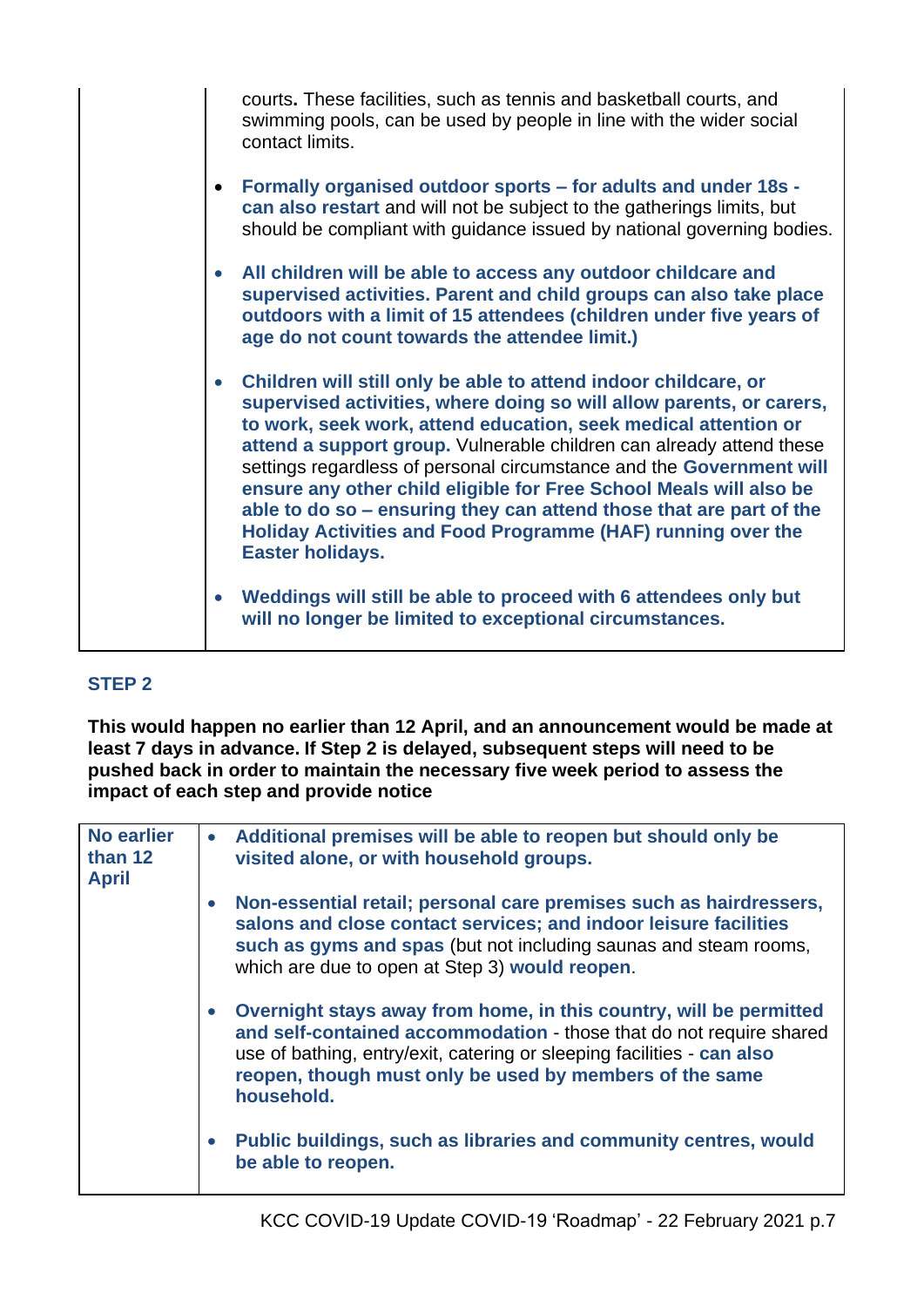| courts. These facilities, such as tennis and basketball courts, and<br>swimming pools, can be used by people in line with the wider social<br>contact limits.                                                                                                                                                                                                                                                                                                                                                                                                                                            |
|----------------------------------------------------------------------------------------------------------------------------------------------------------------------------------------------------------------------------------------------------------------------------------------------------------------------------------------------------------------------------------------------------------------------------------------------------------------------------------------------------------------------------------------------------------------------------------------------------------|
| Formally organised outdoor sports - for adults and under 18s -<br>$\bullet$<br>can also restart and will not be subject to the gatherings limits, but<br>should be compliant with guidance issued by national governing bodies.                                                                                                                                                                                                                                                                                                                                                                          |
| All children will be able to access any outdoor childcare and<br>$\bullet$<br>supervised activities. Parent and child groups can also take place<br>outdoors with a limit of 15 attendees (children under five years of<br>age do not count towards the attendee limit.)                                                                                                                                                                                                                                                                                                                                 |
| Children will still only be able to attend indoor childcare, or<br>$\bullet$<br>supervised activities, where doing so will allow parents, or carers,<br>to work, seek work, attend education, seek medical attention or<br>attend a support group. Vulnerable children can already attend these<br>settings regardless of personal circumstance and the Government will<br>ensure any other child eligible for Free School Meals will also be<br>able to do so - ensuring they can attend those that are part of the<br>Holiday Activities and Food Programme (HAF) running over the<br>Easter holidays. |
| Weddings will still be able to proceed with 6 attendees only but<br>$\bullet$<br>will no longer be limited to exceptional circumstances.                                                                                                                                                                                                                                                                                                                                                                                                                                                                 |

# **STEP 2**

**This would happen no earlier than 12 April, and an announcement would be made at least 7 days in advance. If Step 2 is delayed, subsequent steps will need to be pushed back in order to maintain the necessary five week period to assess the impact of each step and provide notice**

| <b>No earlier</b><br>than 12<br><b>April</b> | $\bullet$ | Additional premises will be able to reopen but should only be<br>visited alone, or with household groups.                                                                                                                                                                                    |
|----------------------------------------------|-----------|----------------------------------------------------------------------------------------------------------------------------------------------------------------------------------------------------------------------------------------------------------------------------------------------|
|                                              |           | Non-essential retail; personal care premises such as hairdressers,<br>salons and close contact services; and indoor leisure facilities<br>such as gyms and spas (but not including saunas and steam rooms,<br>which are due to open at Step 3) would reopen.                                 |
|                                              |           | Overnight stays away from home, in this country, will be permitted<br>and self-contained accommodation - those that do not require shared<br>use of bathing, entry/exit, catering or sleeping facilities - can also<br>reopen, though must only be used by members of the same<br>household. |
|                                              |           | Public buildings, such as libraries and community centres, would<br>be able to reopen.                                                                                                                                                                                                       |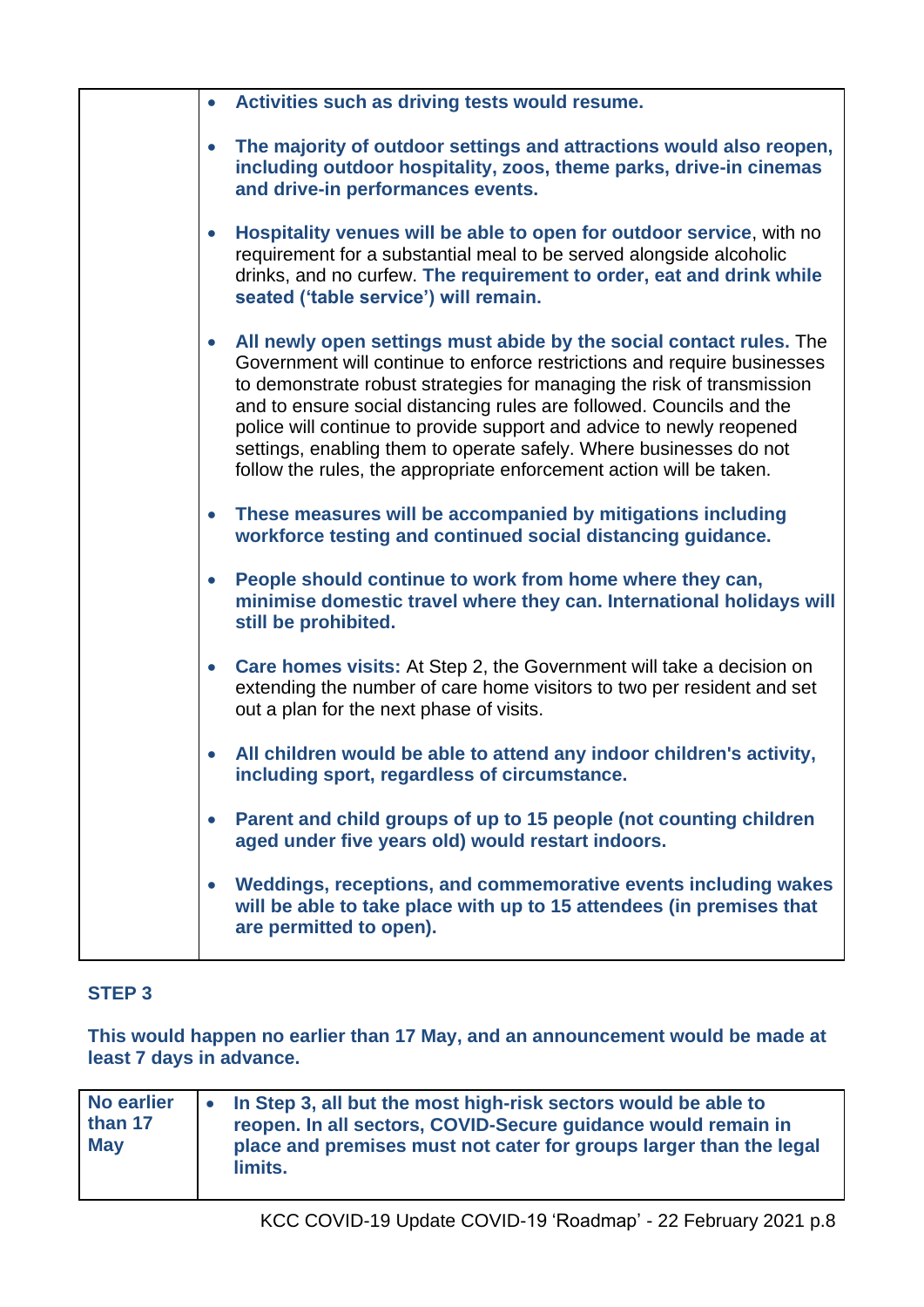| Activities such as driving tests would resume.<br>$\bullet$                                                                                                                                                                                                                                                                                                                                                                                                                                                                        |
|------------------------------------------------------------------------------------------------------------------------------------------------------------------------------------------------------------------------------------------------------------------------------------------------------------------------------------------------------------------------------------------------------------------------------------------------------------------------------------------------------------------------------------|
| The majority of outdoor settings and attractions would also reopen,<br>$\bullet$<br>including outdoor hospitality, zoos, theme parks, drive-in cinemas<br>and drive-in performances events.                                                                                                                                                                                                                                                                                                                                        |
| Hospitality venues will be able to open for outdoor service, with no<br>$\bullet$<br>requirement for a substantial meal to be served alongside alcoholic<br>drinks, and no curfew. The requirement to order, eat and drink while<br>seated ('table service') will remain.                                                                                                                                                                                                                                                          |
| All newly open settings must abide by the social contact rules. The<br>$\bullet$<br>Government will continue to enforce restrictions and require businesses<br>to demonstrate robust strategies for managing the risk of transmission<br>and to ensure social distancing rules are followed. Councils and the<br>police will continue to provide support and advice to newly reopened<br>settings, enabling them to operate safely. Where businesses do not<br>follow the rules, the appropriate enforcement action will be taken. |
| These measures will be accompanied by mitigations including<br>$\bullet$<br>workforce testing and continued social distancing guidance.                                                                                                                                                                                                                                                                                                                                                                                            |
| People should continue to work from home where they can,<br>minimise domestic travel where they can. International holidays will<br>still be prohibited.                                                                                                                                                                                                                                                                                                                                                                           |
| Care homes visits: At Step 2, the Government will take a decision on<br>$\bullet$<br>extending the number of care home visitors to two per resident and set<br>out a plan for the next phase of visits.                                                                                                                                                                                                                                                                                                                            |
| All children would be able to attend any indoor children's activity,<br>including sport, regardless of circumstance.                                                                                                                                                                                                                                                                                                                                                                                                               |
| Parent and child groups of up to 15 people (not counting children<br>$\bullet$<br>aged under five years old) would restart indoors.                                                                                                                                                                                                                                                                                                                                                                                                |
| Weddings, receptions, and commemorative events including wakes<br>$\bullet$<br>will be able to take place with up to 15 attendees (in premises that<br>are permitted to open).                                                                                                                                                                                                                                                                                                                                                     |
|                                                                                                                                                                                                                                                                                                                                                                                                                                                                                                                                    |

#### **STEP 3**

**This would happen no earlier than 17 May, and an announcement would be made at least 7 days in advance.**

| <b>No earlier</b><br>than 17<br><b>May</b> | • In Step 3, all but the most high-risk sectors would be able to<br>reopen. In all sectors, COVID-Secure guidance would remain in<br>place and premises must not cater for groups larger than the legal<br>limits. |
|--------------------------------------------|--------------------------------------------------------------------------------------------------------------------------------------------------------------------------------------------------------------------|
|--------------------------------------------|--------------------------------------------------------------------------------------------------------------------------------------------------------------------------------------------------------------------|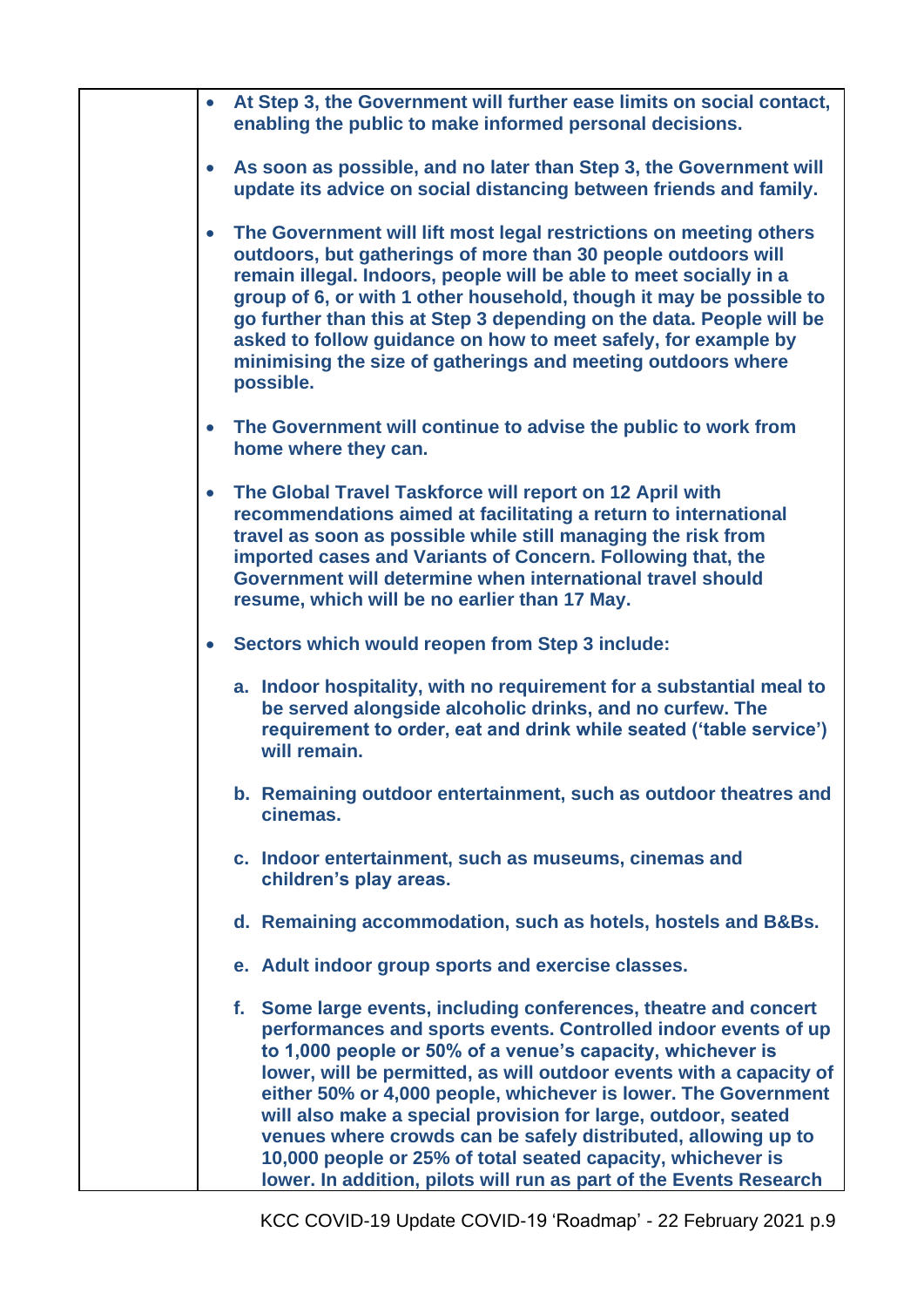|           | At Step 3, the Government will further ease limits on social contact,<br>enabling the public to make informed personal decisions.                                                                                                                                                                                                                                                                                                                                                                                                                                                                                |
|-----------|------------------------------------------------------------------------------------------------------------------------------------------------------------------------------------------------------------------------------------------------------------------------------------------------------------------------------------------------------------------------------------------------------------------------------------------------------------------------------------------------------------------------------------------------------------------------------------------------------------------|
| $\bullet$ | As soon as possible, and no later than Step 3, the Government will<br>update its advice on social distancing between friends and family.                                                                                                                                                                                                                                                                                                                                                                                                                                                                         |
| $\bullet$ | The Government will lift most legal restrictions on meeting others<br>outdoors, but gatherings of more than 30 people outdoors will<br>remain illegal. Indoors, people will be able to meet socially in a<br>group of 6, or with 1 other household, though it may be possible to<br>go further than this at Step 3 depending on the data. People will be<br>asked to follow guidance on how to meet safely, for example by<br>minimising the size of gatherings and meeting outdoors where<br>possible.                                                                                                          |
|           | The Government will continue to advise the public to work from<br>home where they can.                                                                                                                                                                                                                                                                                                                                                                                                                                                                                                                           |
| $\bullet$ | The Global Travel Taskforce will report on 12 April with<br>recommendations aimed at facilitating a return to international<br>travel as soon as possible while still managing the risk from<br>imported cases and Variants of Concern. Following that, the<br>Government will determine when international travel should<br>resume, which will be no earlier than 17 May.                                                                                                                                                                                                                                       |
|           | Sectors which would reopen from Step 3 include:                                                                                                                                                                                                                                                                                                                                                                                                                                                                                                                                                                  |
|           | a. Indoor hospitality, with no requirement for a substantial meal to<br>be served alongside alcoholic drinks, and no curfew. The<br>requirement to order, eat and drink while seated ('table service')<br>will remain.                                                                                                                                                                                                                                                                                                                                                                                           |
|           | b. Remaining outdoor entertainment, such as outdoor theatres and<br>cinemas.                                                                                                                                                                                                                                                                                                                                                                                                                                                                                                                                     |
|           | c. Indoor entertainment, such as museums, cinemas and<br>children's play areas.                                                                                                                                                                                                                                                                                                                                                                                                                                                                                                                                  |
|           | d. Remaining accommodation, such as hotels, hostels and B&Bs.                                                                                                                                                                                                                                                                                                                                                                                                                                                                                                                                                    |
|           | e. Adult indoor group sports and exercise classes.                                                                                                                                                                                                                                                                                                                                                                                                                                                                                                                                                               |
|           | f. Some large events, including conferences, theatre and concert<br>performances and sports events. Controlled indoor events of up<br>to 1,000 people or 50% of a venue's capacity, whichever is<br>lower, will be permitted, as will outdoor events with a capacity of<br>either 50% or 4,000 people, whichever is lower. The Government<br>will also make a special provision for large, outdoor, seated<br>venues where crowds can be safely distributed, allowing up to<br>10,000 people or 25% of total seated capacity, whichever is<br>lower. In addition, pilots will run as part of the Events Research |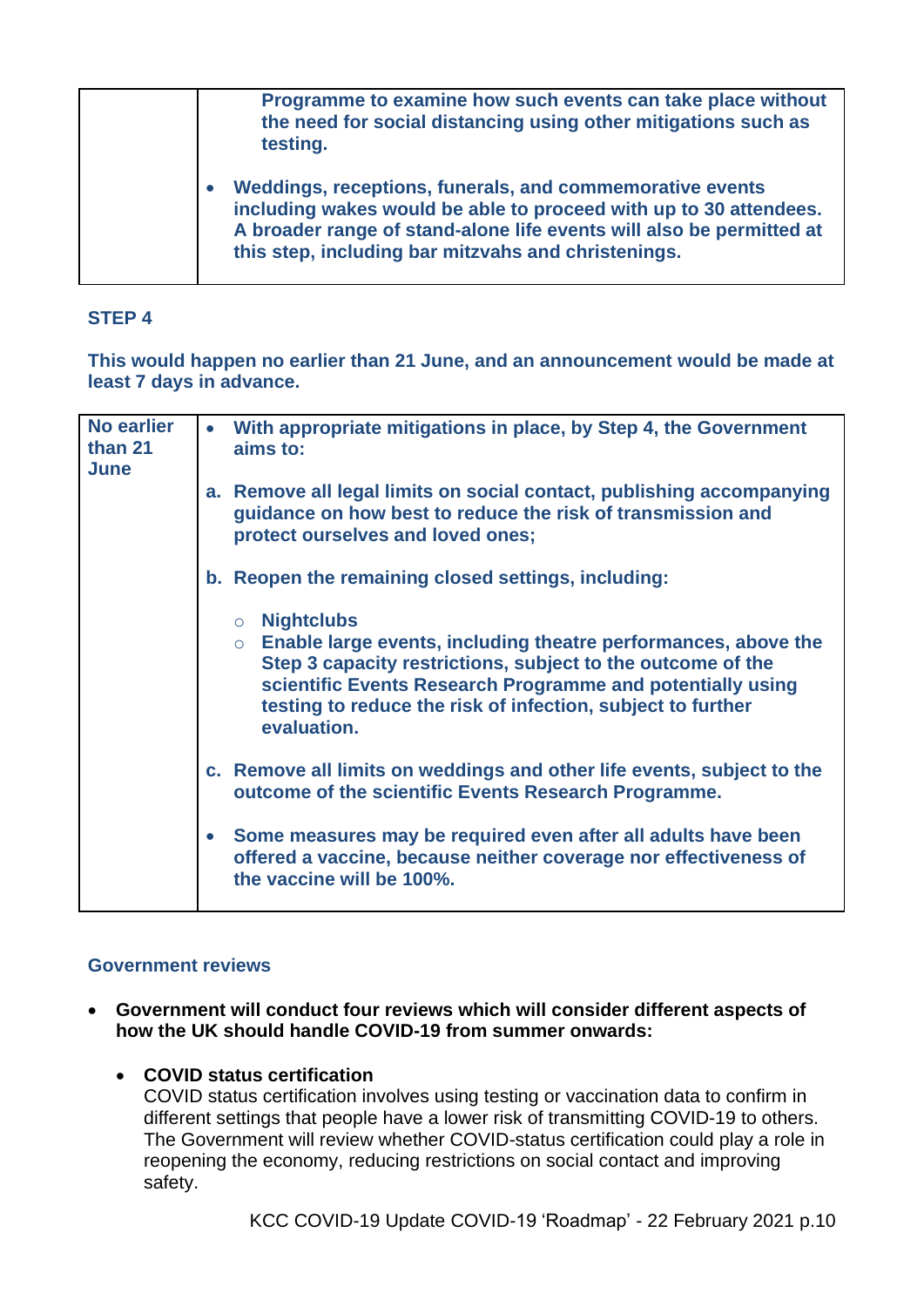| Programme to examine how such events can take place without<br>the need for social distancing using other mitigations such as<br>testing.                                                                                                                    |
|--------------------------------------------------------------------------------------------------------------------------------------------------------------------------------------------------------------------------------------------------------------|
| Weddings, receptions, funerals, and commemorative events<br>including wakes would be able to proceed with up to 30 attendees.<br>A broader range of stand-alone life events will also be permitted at<br>this step, including bar mitzvahs and christenings. |

## **STEP 4**

**This would happen no earlier than 21 June, and an announcement would be made at least 7 days in advance.**

| <b>No earlier</b><br>than 21<br>June | With appropriate mitigations in place, by Step 4, the Government<br>$\bullet$<br>aims to:                                                                                                                                                                                                                  |
|--------------------------------------|------------------------------------------------------------------------------------------------------------------------------------------------------------------------------------------------------------------------------------------------------------------------------------------------------------|
|                                      | a. Remove all legal limits on social contact, publishing accompanying<br>guidance on how best to reduce the risk of transmission and<br>protect ourselves and loved ones;                                                                                                                                  |
|                                      | b. Reopen the remaining closed settings, including:                                                                                                                                                                                                                                                        |
|                                      | $\circ$ Nightclubs<br>Enable large events, including theatre performances, above the<br>$\circ$<br>Step 3 capacity restrictions, subject to the outcome of the<br>scientific Events Research Programme and potentially using<br>testing to reduce the risk of infection, subject to further<br>evaluation. |
|                                      | c. Remove all limits on weddings and other life events, subject to the<br>outcome of the scientific Events Research Programme.                                                                                                                                                                             |
|                                      | Some measures may be required even after all adults have been<br>$\bullet$<br>offered a vaccine, because neither coverage nor effectiveness of<br>the vaccine will be 100%.                                                                                                                                |

#### **Government reviews**

- **Government will conduct four reviews which will consider different aspects of how the UK should handle COVID-19 from summer onwards:**
	- **COVID status certification**

COVID status certification involves using testing or vaccination data to confirm in different settings that people have a lower risk of transmitting COVID-19 to others. The Government will review whether COVID-status certification could play a role in reopening the economy, reducing restrictions on social contact and improving safety.